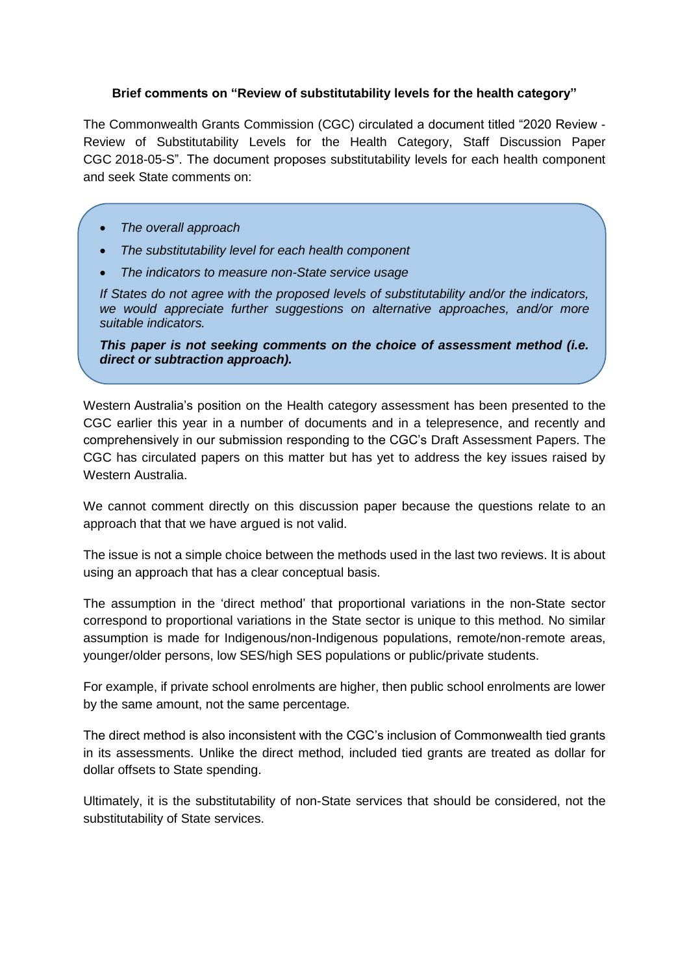## **Brief comments on "Review of substitutability levels for the health category"**

The Commonwealth Grants Commission (CGC) circulated a document titled "2020 Review - Review of Substitutability Levels for the Health Category, Staff Discussion Paper CGC 2018-05-S". The document proposes substitutability levels for each health component and seek State comments on:

- *The overall approach*
- *The substitutability level for each health component*
- *The indicators to measure non-State service usage*

*If States do not agree with the proposed levels of substitutability and/or the indicators, we would appreciate further suggestions on alternative approaches, and/or more suitable indicators.*

*This paper is not seeking comments on the choice of assessment method (i.e. direct or subtraction approach).*

Western Australia's position on the Health category assessment has been presented to the CGC earlier this year in a number of documents and in a telepresence, and recently and comprehensively in our submission responding to the CGC's Draft Assessment Papers. The CGC has circulated papers on this matter but has yet to address the key issues raised by Western Australia.

We cannot comment directly on this discussion paper because the questions relate to an approach that that we have argued is not valid.

The issue is not a simple choice between the methods used in the last two reviews. It is about using an approach that has a clear conceptual basis.

The assumption in the 'direct method' that proportional variations in the non-State sector correspond to proportional variations in the State sector is unique to this method. No similar assumption is made for Indigenous/non-Indigenous populations, remote/non-remote areas, younger/older persons, low SES/high SES populations or public/private students.

For example, if private school enrolments are higher, then public school enrolments are lower by the same amount, not the same percentage.

The direct method is also inconsistent with the CGC's inclusion of Commonwealth tied grants in its assessments. Unlike the direct method, included tied grants are treated as dollar for dollar offsets to State spending.

Ultimately, it is the substitutability of non-State services that should be considered, not the substitutability of State services.